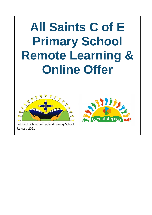**All Saints C of E Primary School Remote Learning & Online Offer**



All Saints Church of England Primary School January 2021

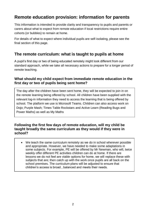# **Remote education provision: information for parents**

This information is intended to provide clarity and transparency to pupils and parents or carers about what to expect from remote education if local restrictions require entire cohorts (or bubbles) to remain at home.

For details of what to expect where individual pupils are self-isolating, please see the final section of this page.

## **The remote curriculum: what is taught to pupils at home**

A pupil's first day or two of being educated remotely might look different from our standard approach, while we take all necessary actions to prepare for a longer period of remote teaching.

## **What should my child expect from immediate remote education in the first day or two of pupils being sent home?**

The day after the children have been sent home, they will be expected to join in on the remote learning being offered by school. All children have been supplied with the relevant log-in information they need to access the learning that is being offered by school. The platform we use is Microsoft Teams. Children can also access work on Dojo; Purple Mash; Times Table Rockstars and Active Learn (Reading Bugs and Power Maths) as well as My Maths

### **Following the first few days of remote education, will my child be taught broadly the same curriculum as they would if they were in school?**

• We teach the same curriculum remotely as we do in school wherever possible and appropriate. However, we have needed to make some adaptations in some subjects. For example, PE will be offered by Mr Newman, who will, twice weekly offer different PE activities children can do at home. If there are lessons we do not feel are viable options for home, we will replace these with subjects that are; then catch up with the work once pupils are all back on the school premises. The curriculum plans will be adjusted to ensure that children's access is broad , balanced and meets their needs.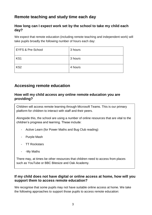## **Remote teaching and study time each day**

## **How long can I expect work set by the school to take my child each day?**

We expect that remote education (including remote teaching and independent work) will take pupils broadly the following number of hours each day:

| <b>EYFS &amp; Pre-School</b> | 3 hours |
|------------------------------|---------|
| KS1                          | 3 hours |
| KS <sub>2</sub>              | 4 hours |

## **Accessing remote education**

#### **How will my child access any online remote education you are providing?**

Children will access remote learning through Microsoft Teams. This is our primary platform for children to interact with staff and their peers.

Alongside this, the school are using a number of online resources that are vital to the children's progress and learning. These include:

- Active Learn (for Power Maths and Bug Club reading)
- Purple Mash
- TT Rockstars
- -My Maths

There may, at times be other resources that children need to access from places such as YouTube or BBC Bitesize and Oak Academy.

### **If my child does not have digital or online access at home, how will you support them to access remote education?**

We recognise that some pupils may not have suitable online access at home. We take the following approaches to support those pupils to access remote education: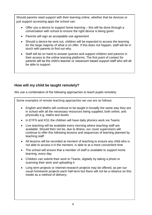Should parents need support with their learning online, whether that be devices or just support accessing apps the school can:

- Offer you a device to support home learning this will be done through a conversation with school to ensure the right device is being given
- Parents will sign an acceptable use agreement
- Should a device be sent out, children will be expected to access the learning for the large majority of what is on offer. If this does not happen, staff will be in touch with parents to find out why.
- Staff will be on hand to answer queries and support children and parents in their access to the online learning platforms. The first point of contact for parents will be the child's teacher or classroom based support staff who will all be able to support.

## **How will my child be taught remotely?**

We use a combination of the following approaches to teach pupils remotely:

Some examples of remote teaching approaches we use are as follows:

- English and Maths will continue to be taught in broadly the same way they are in school with all the necessary resources being supplied, both online, and physically e.g. maths text books
- In EYFS and KS1 the children will have daily phonics work via Teams
- Live teaching will be available every morning where teaching staff are available. Should then not be, due to illness, our cover supervisors will continue to offer this following lessons and sequences of learning planned by teaching staff
- All lessons will be recorded at moment of teaching to ensure any child who is not able to access it in the moment, is able to at a more convenient time
- The school will ensure that a member of staff is available to support home learning, every day.
- Children can submit their work to Teams, digitally by taking a photo or scanning their work and uploading it
- Long term projects or internet-research projects may be offered, as per our usual homework projects each half-term but there will not be a reliance on this model as a method of delivery.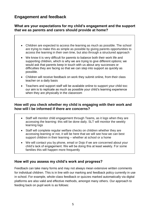## **Engagement and feedback**

### **What are your expectations for my child's engagement and the support that we as parents and carers should provide at home?**

- Children are expected to access the learning as much as possible. The school are trying to make this as simple as possible by giving parents opportunities to access the learning in their own time, but also through a structured approach
- We know it is very difficult for parents to balance both their work life and supporting children, which is why we are trying to give different options; we would ask that parents keep in touch with us about any successes or difficulties they are facing so that we can step into support as quickly as possible.
- Children will receive feedback on work they submit online, from their class teacher on a daily basis
- Teachers and support staff will be available online to support your child too: our aim is to replicate as much as possible your child's learning experience when they are physically in the classroom

### **How will you check whether my child is engaging with their work and how will I be informed if there are concerns?**

- Staff will monitor child engagement through Teams, as it logs when they are accessing the learning: this will be done daily. SLT will monitor the weekly learning logs
- Staff will complete regular welfare checks on children whether they are accessing learning or not, it will be here that we will see how we can best support children in their learning – whether at school or a home
- We will contact you by phone, email or Dojo if we are concerned about your child's lack of engagement. We will be doing this at least weekly. For some families this will happen more frequently

## **How will you assess my child's work and progress?**

Feedback can take many forms and may not always mean extensive written comments for individual children. This is in line with our marking and feedback policy currently in use in school. For example, whole-class feedback or quizzes marked automatically via digital platforms are also valid and effective methods, amongst many others. Our approach to feeding back on pupil work is as follows: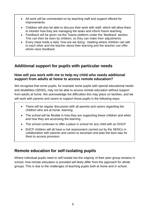- All work will be commented on by teaching staff and support offered for improvements
- Children will also be able to discuss their work with staff, which will allow them to monitor how they are managing the tasks and inform future teaching
- Feedback will be given via the Teams platform under the 'feedback' section. This can then be seen by children, so they can make their adjustments
- Every class holds a daily 'how are we doing ' meeting where children can talk to each other and the teacher about their learning and the teacher can offer whole class feedback

## **Additional support for pupils with particular needs**

## **How will you work with me to help my child who needs additional support from adults at home to access remote education?**

We recognise that some pupils, for example some pupils with special educational needs and disabilities (SEND), may not be able to access remote education without support from adults at home. We acknowledge the difficulties this may place on families, and we will work with parents and carers to support those pupils in the following ways:

- There will be regular discussion with all parents and carers regarding the children who are at home, learning
- The school will be flexible in how they are supporting these children and when and how they are accessing the learning
- The school continues to offer a place in school for any child with an EHCP
- EHCP children will all have a risk assessment carried out by the SENCo in collaboration with parents and carers to ascertain and plan the best way for them to access provision.

## **Remote education for self-isolating pupils**

Where individual pupils need to self-isolate but the majority of their peer group remains in school, how remote education is provided will likely differ from the approach for whole groups. This is due to the challenges of teaching pupils both at home and in school.